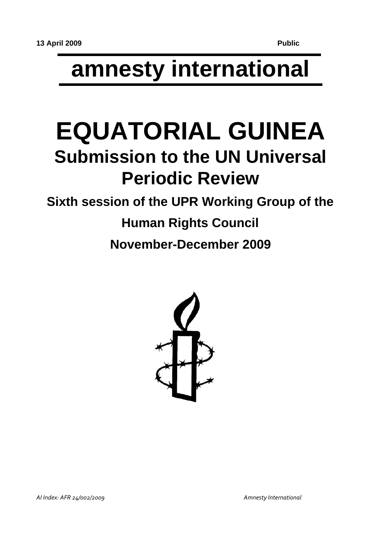# **amnesty international**

## **EQUATORIAL GUINEA Submission to the UN Universal Periodic Review**

### **Sixth session of the UPR Working Group of the**

# **Human Rights Council**

**November-December 2009**

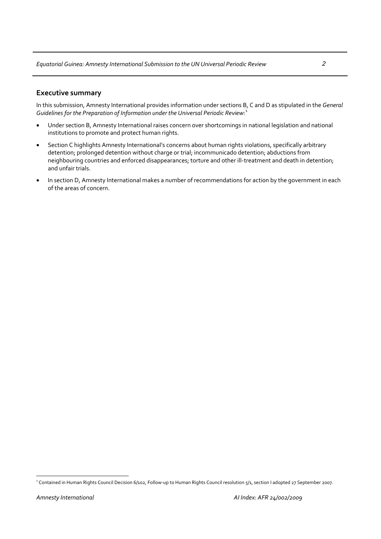#### **Executive summary**

In this submission, Amnesty International provides information under sections B, C and D as stipulated in the *General Guidelines for the Preparation of Information under the Universal Periodic Review:*[1](#page-1-0)

- Under section B, Amnesty International raises concern over shortcomings in national legislation and national institutions to promote and protect human rights.
- Section C highlights Amnesty International's concerns about human rights violations, specifically arbitrary detention; prolonged detention without charge or trial; incommunicado detention; abductions from neighbouring countries and enforced disappearances; torture and other ill-treatment and death in detention; and unfair trials.
- In section D, Amnesty International makes a number of recommendations for action by the government in each of the areas of concern.

<span id="page-1-0"></span><sup>&</sup>lt;sup>1</sup> Contained in Human Rights Council Decision 6/102, Follow-up to Human Rights Council resolution 5/1, section I adopted 27 September 2007.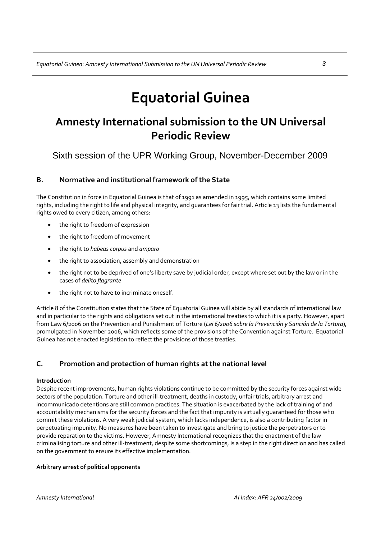### **Equatorial Guinea**

### **Amnesty International submission to the UN Universal Periodic Review**

Sixth session of the UPR Working Group, November-December 2009

#### **B. Normative and institutional framework of the State**

The Constitution in force in Equatorial Guinea is that of 1991 as amended in 1995, which contains some limited rights, including the right to life and physical integrity, and guarantees for fair trial. Article 13 lists the fundamental rights owed to every citizen, among others:

- the right to freedom of expression
- the right to freedom of movement
- the right to *habeas corpus* and *amparo*
- the right to association, assembly and demonstration
- the right not to be deprived of one's liberty save by judicial order, except where set out by the law or in the cases of *delito flagrante*
- the right not to have to incriminate oneself.

Article 8 of the Constitution states that the State of Equatorial Guinea will abide by all standards of international law and in particular to the rights and obligations set out in the international treaties to which it is a party. However, apart from Law 6/2006 on the Prevention and Punishment of Torture (*Lei 6/2006 sobre la Prevención y Sanción de la Tortura*), promulgated in November 2006, which reflects some of the provisions of the Convention against Torture. Equatorial Guinea has not enacted legislation to reflect the provisions of those treaties.

#### **C. Promotion and protection of human rights at the national level**

#### **Introduction**

Despite recent improvements, human rights violations continue to be committed by the security forces against wide sectors of the population. Torture and other ill-treatment, deaths in custody, unfair trials, arbitrary arrest and incommunicado detentions are still common practices. The situation is exacerbated by the lack of training of and accountability mechanisms for the security forces and the fact that impunity is virtually guaranteed for those who commit these violations. A very weak judicial system, which lacks independence, is also a contributing factor in perpetuating impunity. No measures have been taken to investigate and bring to justice the perpetrators or to provide reparation to the victims. However, Amnesty International recognizes that the enactment of the law criminalising torture and other ill‐treatment, despite some shortcomings, is a step in the right direction and has called on the government to ensure its effective implementation.

#### **Arbitrary arrest of political opponents**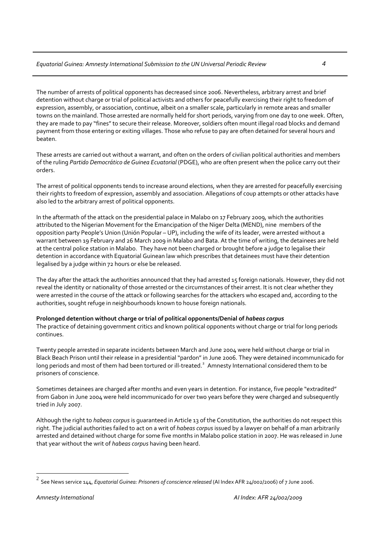The number of arrests of political opponents has decreased since 2006. Nevertheless, arbitrary arrest and brief detention without charge or trial of political activists and others for peacefully exercising their right to freedom of expression, assembly, or association, continue, albeit on a smaller scale, particularly in remote areas and smaller towns on the mainland. Those arrested are normally held for short periods, varying from one day to one week. Often, they are made to pay "fines" to secure their release. Moreover, soldiers often mount illegal road blocks and demand payment from those entering or exiting villages. Those who refuse to pay are often detained for several hours and beaten.

These arrests are carried out without a warrant, and often on the orders of civilian political authorities and members of the ruling *Partido Democrático de Guinea Ecuatorial* (PDGE), who are often present when the police carry out their orders.

The arrest of political opponents tends to increase around elections, when they are arrested for peacefully exercising their rights to freedom of expression, assembly and association. Allegations of coup attempts or other attacks have also led to the arbitrary arrest of political opponents.

In the aftermath of the attack on the presidential palace in Malabo on 17 February 2009, which the authorities attributed to the Nigerian Movement for the Emancipation of the Niger Delta (MEND), nine members of the opposition party People's Union (Unión Popular – UP), including the wife of its leader, were arrested without a warrant between 19 February and 26 March 2009 in Malabo and Bata. At the time of writing, the detainees are held at the central police station in Malabo. They have not been charged or brought before a judge to legalise their detention in accordance with Equatorial Guinean law which prescribes that detainees must have their detention legalised by a judge within 72 hours or else be released.

The day after the attack the authorities announced that they had arrested 15 foreign nationals. However, they did not reveal the identity or nationality of those arrested or the circumstances of their arrest. It is not clear whether they were arrested in the course of the attack or following searches for the attackers who escaped and, according to the authorities, sought refuge in neighbourhoods known to house foreign nationals.

#### **Prolonged detention without charge or trial of political opponents/Denial of** *habeas corpus*

The practice of detaining government critics and known political opponents without charge or trial for long periods continues.

Twenty people arrested in separate incidents between March and June 2004 were held without charge or trial in Black Beach Prison until their release in a presidential"pardon" in June 2006. They were detained incommunicado for long periods and most of them had been tortured or ill-treated.<sup>[2](#page-3-0)</sup> Amnesty International considered them to be prisoners of conscience.

Sometimes detainees are charged after months and even years in detention. For instance, five people "extradited" from Gabon in June 2004 were held incommunicado for over two years before they were charged and subsequently tried in July 2007.

Although the right to *habeas corpus* is guaranteed in Article 13 of the Constitution, the authorities do not respect this right. The judicial authorities failed to act on a writ of *habeas corpus* issued by a lawyer on behalf of a man arbitrarily arrested and detained without charge for some five months in Malabo police station in 2007. He was released in June that year without the writ of *habeas corpus* having been heard.

<span id="page-3-0"></span><sup>2</sup> See News service 144, *Equatorial Guinea: Prisoners of conscience released* (AI Index AFR 24/002/2006) of <sup>7</sup> June 2006.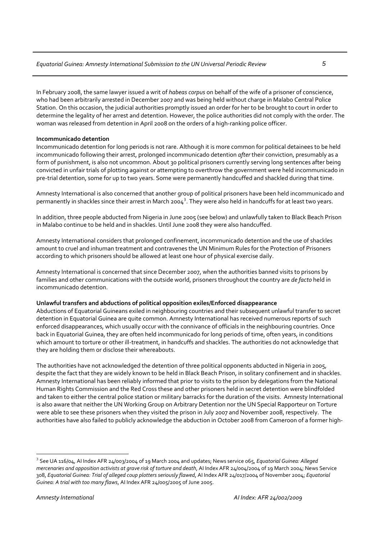In February 2008, the same lawyer issued a writ of *habeas corpus* on behalf of the wife of a prisoner of conscience, who had been arbitrarily arrested in December 2007 and was being held without charge in Malabo Central Police Station. On this occasion, the judicial authorities promptly issued an order for her to be brought to court in order to determine the legality of her arrest and detention. However, the police authorities did not comply with the order. The woman was released from detention in April 2008 on the orders of a high-ranking police officer.

#### **Incommunicado detention**

Incommunicado detention for long periods is not rare. Although it is more common for political detainees to be held incommunicado following their arrest, prolonged incommunicado detention *after* their conviction, presumably as a form of punishment, is also not uncommon. About 30 political prisoners currently serving long sentences after being convicted in unfair trials of plotting against or attempting to overthrow the government were held incommunicado in pre-trial detention, some for up to two years. Some were permanently handcuffed and shackled during that time.

Amnesty International is also concerned that another group of political prisoners have been held incommunicado and permanently in shackles since their arrest in March 2004<sup>[3](#page-4-0)</sup>. They were also held in handcuffs for at least two years.

In addition, three people abducted from Nigeria in June 2005 (see below) and unlawfully taken to Black Beach Prison in Malabo continue to be held and in shackles. Until June 2008 they were also handcuffed.

Amnesty International considers that prolonged confinement, incommunicado detention and the use of shackles amount to cruel and inhuman treatment and contravenes the UN Minimum Rules for the Protection of Prisoners according to which prisoners should be allowed at least one hour of physical exercise daily.

Amnesty International is concerned that since December 2007, when the authorities banned visits to prisons by families and other communications with the outside world, prisoners throughout the country are *de facto* held in incommunicado detention.

#### **Unlawful transfers and abductions of political opposition exiles/Enforced disappearance**

Abductions of Equatorial Guineans exiled in neighbouring countries and their subsequent unlawful transfer to secret detention in Equatorial Guinea are quite common. Amnesty International has received numerous reports of such enforced disappearances, which usually occur with the connivance of officials in the neighbouring countries. Once back in Equatorial Guinea, they are often held incommunicado for long periods of time, often years, in conditions which amount to torture or other ill-treatment, in handcuffs and shackles. The authorities do not acknowledge that they are holding them or disclose their whereabouts.

The authorities have not acknowledged the detention of three political opponents abducted in Nigeria in 2005, despite the fact that they are widely known to be held in Black Beach Prison, in solitary confinement and in shackles. Amnesty International has been reliably informed that prior to visits to the prison by delegations from the National Human Rights Commission and the Red Cross these and other prisoners held in secret detention were blindfolded and taken to either the central police station or military barracks for the duration of the visits. Amnesty International is also aware that neither the UN Working Group on Arbitrary Detention nor the UN Special Rapporteur on Torture were able to see these prisoners when they visited the prison in July 2007 and November 2008, respectively. The authorities have also failed to publicly acknowledge the abduction in October 2008 from Cameroon of a former high-

<span id="page-4-0"></span><sup>3</sup> See UA 116/04, AI Index AFR 24/003/2004 of 19 March 2004 and updates; News service 065, *Equatorial Guinea: Alleged mercenaries and opposition activists at grave risk of torture and death*, AI Index AFR 24/004/2004 of 19 March 2004; News Service 308, *Equatorial Guinea: Trial of alleged coup plotters seriously flawed*, AI Index AFR 24/017/2004 of November 2004; *Equatorial Guinea: A trial with too many flaws*, AI Index AFR 24/005/2005 of June 2005.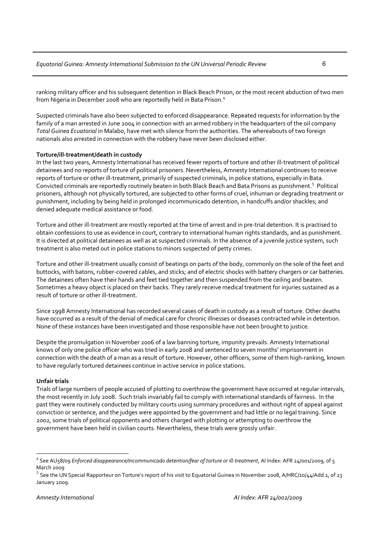ranking military officer and his subsequent detention in Black Beach Prison, or the most recent abduction of two men from Nigeria in December 2008 who are reportedly held in Bata Prison.<sup>[4](#page-5-0)</sup>

Suspected criminals have also been subjected to enforced disappearance. Repeated requests for information by the family of a man arrested in June 2004 in connection with an armed robbery in the headquarters of the oil company *Total Guinea Ecuatorial* in Malabo, have met with silence from the authorities. The whereabouts of two foreign nationals also arrested in connection with the robbery have never been disclosed either.

#### **Torture/ill‐treatment/death in custody**

In the last two years, Amnesty International has received fewer reports of torture and other ill-treatment of political detainees and no reports of torture of political prisoners. Nevertheless, Amnesty International continues to receive reports of torture or other ill-treatment, primarily of suspected criminals, in police stations, especially in Bata. Convicted criminals are reportedly routinely beaten in both Black Beach and Bata Prisons as punishment.<sup>[5](#page-5-1)</sup> Political prisoners, although not physically tortured, are subjected to other forms of cruel, inhuman or degrading treatment or punishment, including by being held in prolonged incommunicado detention, in handcuffs and/or shackles; and denied adequate medical assistance or food.

Torture and other ill‐treatment are mostly reported at the time of arrest and in pre‐trial detention. It is practised to obtain confessions to use as evidence in court, contrary to international human rights standards, and as punishment. It is directed at political detainees as well as at suspected criminals. In the absence of a juvenile justice system, such treatment is also meted out in police stations to minors suspected of petty crimes.

Torture and other ill-treatment usually consist of beatings on parts of the body, commonly on the sole of the feet and buttocks, with batons, rubber‐covered cables, and sticks; and of electric shocks with battery chargers or car batteries. The detainees often have their hands and feet tied together and then suspended from the ceiling and beaten. Sometimes a heavy object is placed on their backs. They rarely receive medical treatment for injuries sustained as a result of torture or other ill‐treatment.

Since 1998 Amnesty International has recorded several cases of death in custody as a result of torture. Other deaths have occurred as a result of the denial of medical care for chronic illnesses or diseases contracted while in detention. None of these instances have been investigated and those responsible have not been brought to justice.

Despite the promulgation in November 2006 of a law banning torture, impunity prevails. Amnesty International knows of only one police officer who was tried in early 2008 and sentenced to seven months' imprisonment in connection with the death of a man as a result of torture. However, other officers, some of them high-ranking, known to have regularly tortured detainees continue in active service in police stations.

#### **Unfair trials**

 $\overline{a}$ 

Trials of large numbers of people accused of plotting to overthrow the government have occurred at regular intervals, the most recently in July 2008. Such trials invariably fail to comply with international standards of fairness. In the past they were routinely conducted by military courts using summary procedures and without right of appeal against conviction or sentence, and the judges were appointed by the government and had little or no legal training. Since 2002, some trials of political opponents and others charged with plotting or attempting to overthrow the government have been held in civilian courts. Nevertheless, these trials were grossly unfair.

<span id="page-5-0"></span>*<sup>4</sup>* See AU58/09 *Enforced disappearance/incommunicado detention/fear of torture or ill‐treatment*, AI Index: AFR 24/001/2009, of 5 March 2009<br><sup>5</sup> See the UN Special Rapporteur on Torture's report of his visit to Equatorial Guinea in November 2008, A/HRC/10/44/Add.1, of 23

<span id="page-5-1"></span>January 2009.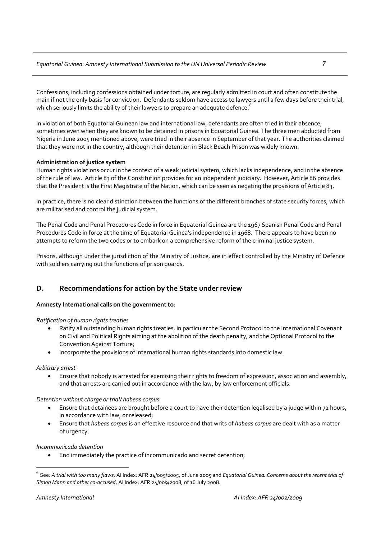#### *Equatorial Guinea: Amnesty International Submission to the UN Universal Periodic Review 7*

Confessions, including confessions obtained under torture, are regularly admitted in court and often constitute the main if not the only basis for conviction. Defendants seldom have access to lawyers until a few days before their trial, which seriously limits the ability of their lawyers to prepare an adequate defence.<sup>[6](#page-6-0)</sup>

In violation of both Equatorial Guinean law and international law, defendants are often tried in their absence; sometimes even when they are known to be detained in prisons in Equatorial Guinea. The three men abducted from Nigeria in June 2005 mentioned above, were tried in their absence in September of that year. The authorities claimed that they were not in the country, although their detention in Black Beach Prison was widely known.

#### **Administration of justice system**

Human rights violations occur in the context of a weak judicial system, which lacks independence, and in the absence of the rule of law. Article 83 of the Constitution provides for an independent judiciary. However, Article 86 provides that the President is the First Magistrate of the Nation, which can be seen as negating the provisions of Article 83.

In practice, there is no clear distinction between the functions of the different branches of state security forces, which are militarised and control the judicial system.

The Penal Code and Penal Procedures Code in force in Equatorial Guinea are the 1967 Spanish Penal Code and Penal Procedures Code in force at the time of Equatorial Guinea's independence in 1968. There appears to have been no attempts to reform the two codes or to embark on a comprehensive reform of the criminal justice system.

Prisons, although under the jurisdiction of the Ministry of Justice, are in effect controlled by the Ministry of Defence with soldiers carrying out the functions of prison guards.

#### **D. Recommendations for action by the State under review**

#### **Amnesty International calls on the government to:**

#### *Ratification of human rights treaties*

- Ratify all outstanding human rights treaties, in particular the Second Protocol to the International Covenant on Civil and Political Rights aiming at the abolition of the death penalty, and the Optional Protocol to the Convention Against Torture;
- Incorporate the provisions of international human rights standards into domestic law.

#### *Arbitrary arrest*

• Ensure that nobody is arrested for exercising their rights to freedom of expression, association and assembly, and that arrests are carried out in accordance with the law, by law enforcement officials.

#### *Detention without charge or trial/ habeas corpus*

- Ensure that detainees are brought before a court to have their detention legalised by a judge within 72 hours, in accordance with law, or released;
- Ensure that *habeas corpus* is an effective resource and that writs of *habeas corpus* are dealt with as a matter of urgency.

#### *Incommunicado detention*

• End immediately the practice of incommunicado and secret detention;

<span id="page-6-0"></span> $^6$  See: A trial with too many flaws, AI Index: AFR 24/005/2005, of June 2005 and Equatorial Guinea: Concerns about the recent trial of *Simon Mann and other co‐accused*, AI Index: AFR 24/009/2008, of 16 July 2008.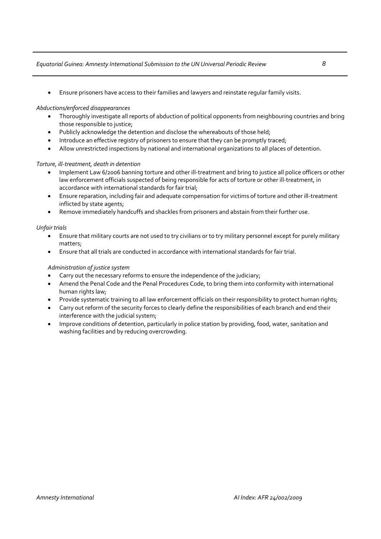#### *Equatorial Guinea: Amnesty International Submission to the UN Universal Periodic Review 8*

• Ensure prisoners have access to their families and lawyers and reinstate regular family visits.

#### *Abductions/enforced disappearances*

- Thoroughly investigate all reports of abduction of political opponents from neighbouring countries and bring those responsible to justice;
- Publicly acknowledge the detention and disclose the whereabouts of those held;
- Introduce an effective registry of prisoners to ensure that they can be promptly traced;
- Allow unrestricted inspections by national and international organizations to all places of detention.

#### *Torture, ill‐treatment, death in detention*

- Implement Law 6/2006 banning torture and other ill‐treatment and bring to justice all police officers or other law enforcement officials suspected of being responsible for acts of torture or other ill-treatment, in accordance with international standards for fair trial;
- Ensure reparation, including fair and adequate compensation for victims of torture and other ill‐treatment inflicted by state agents;
- Remove immediately handcuffs and shackles from prisoners and abstain from their further use.

#### *Unfair trials*

- Ensure that military courts are not used to try civilians or to try military personnel except for purely military matters;
- Ensure that all trials are conducted in accordance with international standards for fair trial.

#### *Administration of justice system*

- Carry out the necessary reforms to ensure the independence of the judiciary;
- Amend the Penal Code and the Penal Procedures Code, to bring them into conformity with international human rights law;
- Provide systematic training to all law enforcement officials on their responsibility to protect human rights;
- Carry out reform of the security forces to clearly define the responsibilities of each branch and end their interference with the judicial system;
- Improve conditions of detention, particularly in police station by providing, food, water, sanitation and washing facilities and by reducing overcrowding.